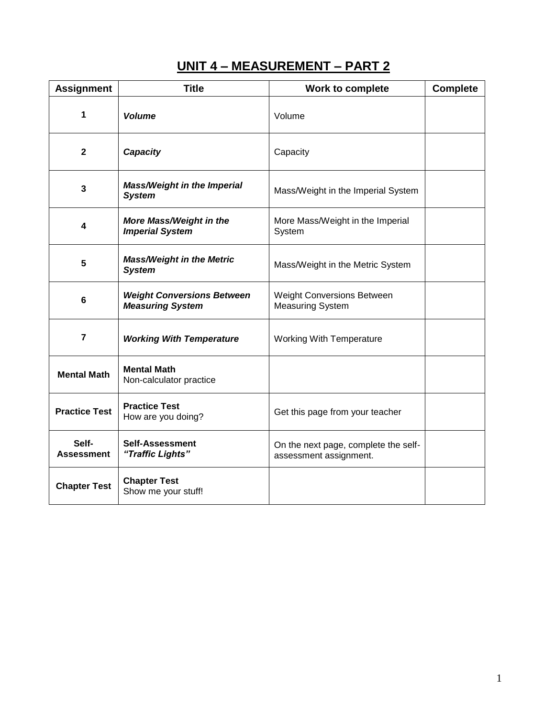# **UNIT 4 – MEASUREMENT – PART 2**

| <b>Assignment</b>          | <b>Title</b>                                                 | Work to complete                                               | <b>Complete</b> |
|----------------------------|--------------------------------------------------------------|----------------------------------------------------------------|-----------------|
| 1                          | <b>Volume</b>                                                | Volume                                                         |                 |
| $\mathbf 2$                | Capacity                                                     | Capacity                                                       |                 |
| 3                          | <b>Mass/Weight in the Imperial</b><br><b>System</b>          | Mass/Weight in the Imperial System                             |                 |
| 4                          | More Mass/Weight in the<br><b>Imperial System</b>            | More Mass/Weight in the Imperial<br>System                     |                 |
| 5                          | <b>Mass/Weight in the Metric</b><br><b>System</b>            | Mass/Weight in the Metric System                               |                 |
| 6                          | <b>Weight Conversions Between</b><br><b>Measuring System</b> | <b>Weight Conversions Between</b><br><b>Measuring System</b>   |                 |
| $\overline{7}$             | <b>Working With Temperature</b>                              | <b>Working With Temperature</b>                                |                 |
| <b>Mental Math</b>         | <b>Mental Math</b><br>Non-calculator practice                |                                                                |                 |
| <b>Practice Test</b>       | <b>Practice Test</b><br>How are you doing?                   | Get this page from your teacher                                |                 |
| Self-<br><b>Assessment</b> | <b>Self-Assessment</b><br>"Traffic Lights"                   | On the next page, complete the self-<br>assessment assignment. |                 |
| <b>Chapter Test</b>        | <b>Chapter Test</b><br>Show me your stuff!                   |                                                                |                 |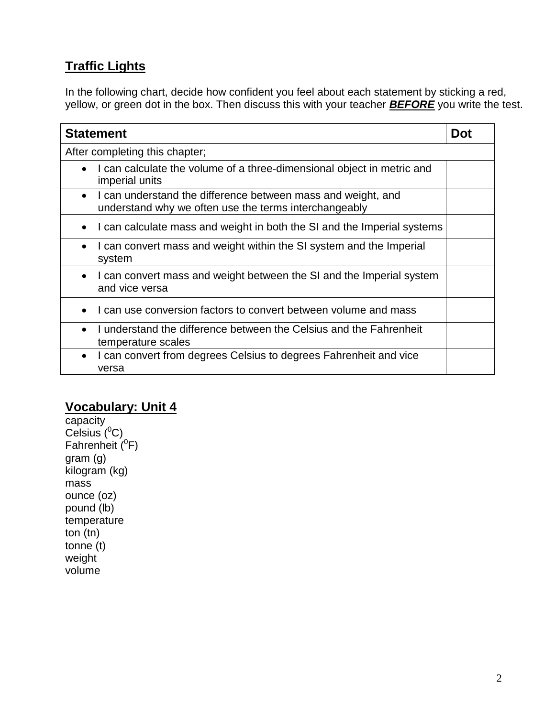# **Traffic Lights**

In the following chart, decide how confident you feel about each statement by sticking a red, yellow, or green dot in the box. Then discuss this with your teacher *BEFORE* you write the test.

| <b>Statement</b>                                                                                                      |  |
|-----------------------------------------------------------------------------------------------------------------------|--|
| After completing this chapter;                                                                                        |  |
| I can calculate the volume of a three-dimensional object in metric and<br>imperial units                              |  |
| I can understand the difference between mass and weight, and<br>understand why we often use the terms interchangeably |  |
| I can calculate mass and weight in both the SI and the Imperial systems                                               |  |
| I can convert mass and weight within the SI system and the Imperial<br>system                                         |  |
| I can convert mass and weight between the SI and the Imperial system<br>and vice versa                                |  |
| I can use conversion factors to convert between volume and mass                                                       |  |
| I understand the difference between the Celsius and the Fahrenheit<br>temperature scales                              |  |
| I can convert from degrees Celsius to degrees Fahrenheit and vice<br>$\bullet$<br>versa                               |  |

#### **Vocabulary: Unit 4**

capacity Celsius  $(^0C)$ Fahrenheit  $(^0$ F) gram (g) kilogram (kg) mass ounce (oz) pound (lb) temperature ton (tn) tonne (t) weight volume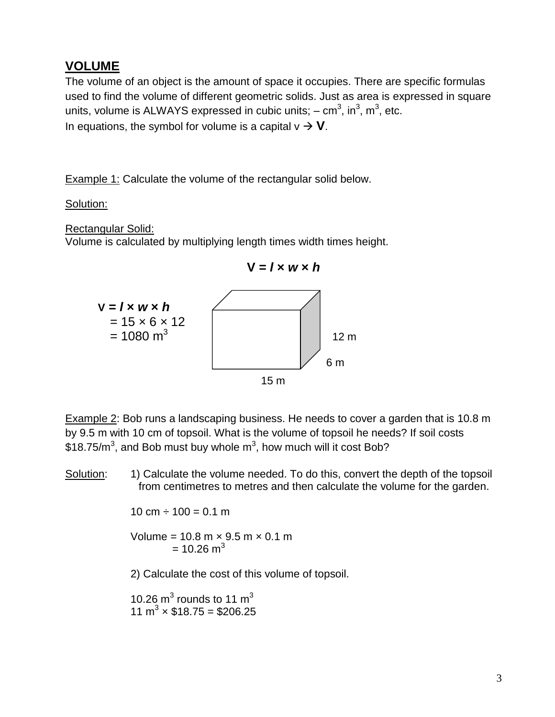### **VOLUME**

The volume of an object is the amount of space it occupies. There are specific formulas used to find the volume of different geometric solids. Just as area is expressed in square units, volume is ALWAYS expressed in cubic units;  $-$  cm<sup>3</sup>, in<sup>3</sup>, m<sup>3</sup>, etc. In equations, the symbol for volume is a capital  $v \rightarrow V$ .

**Example 1: Calculate the volume of the rectangular solid below.** 

#### Solution:

Rectangular Solid:

Volume is calculated by multiplying length times width times height.



Example 2: Bob runs a landscaping business. He needs to cover a garden that is 10.8 m by 9.5 m with 10 cm of topsoil. What is the volume of topsoil he needs? If soil costs  $$18.75/m<sup>3</sup>,$  and Bob must buy whole m<sup>3</sup>, how much will it cost Bob?

Solution: 1) Calculate the volume needed. To do this, convert the depth of the topsoil from centimetres to metres and then calculate the volume for the garden.

10 cm  $\div$  100 = 0.1 m

- Volume =  $10.8$  m  $\times$  9.5 m  $\times$  0.1 m  $= 10.26$  m<sup>3</sup>
- 2) Calculate the cost of this volume of topsoil.

10.26  $m^3$  rounds to 11  $m^3$ 11 m<sup>3</sup>  $\times$  \$18.75 = \$206.25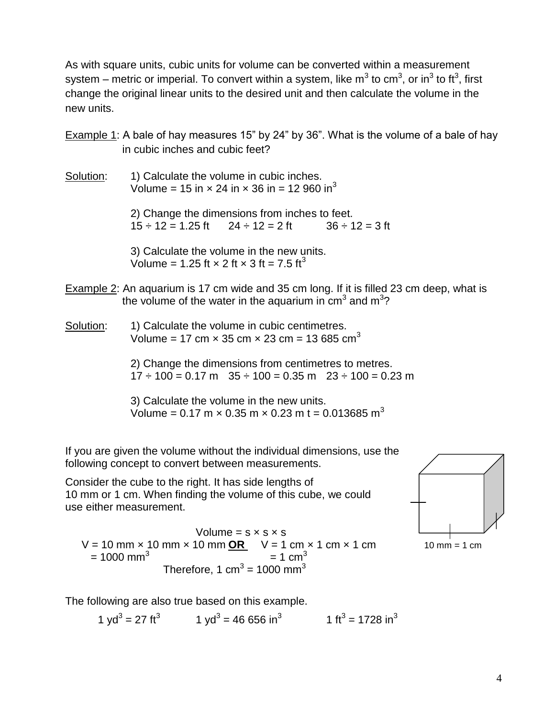As with square units, cubic units for volume can be converted within a measurement system – metric or imperial. To convert within a system, like m<sup>3</sup> to cm<sup>3</sup>, or in<sup>3</sup> to ft<sup>3</sup>, first change the original linear units to the desired unit and then calculate the volume in the new units.

Example 1: A bale of hay measures 15" by 24" by 36". What is the volume of a bale of hay in cubic inches and cubic feet?

Solution: 1) Calculate the volume in cubic inches. Volume = 15 in  $\times$  24 in  $\times$  36 in = 12 960 in<sup>3</sup>

> 2) Change the dimensions from inches to feet.  $15 \div 12 = 1.25$  ft  $24 \div 12 = 2$  ft  $36 \div 12 = 3$  ft

3) Calculate the volume in the new units. Volume = 1.25 ft  $\times$  2 ft  $\times$  3 ft = 7.5 ft<sup>3</sup>

- Example 2: An aquarium is 17 cm wide and 35 cm long. If it is filled 23 cm deep, what is the volume of the water in the aquarium in  $cm<sup>3</sup>$  and  $m<sup>3</sup>$ ?
- Solution: 1) Calculate the volume in cubic centimetres. Volume = 17 cm  $\times$  35 cm  $\times$  23 cm = 13 685 cm<sup>3</sup>

2) Change the dimensions from centimetres to metres.  $17 \div 100 = 0.17$  m  $35 \div 100 = 0.35$  m  $23 \div 100 = 0.23$  m

3) Calculate the volume in the new units. Volume = 0.17 m  $\times$  0.35 m  $\times$  0.23 m t = 0.013685 m<sup>3</sup>

If you are given the volume without the individual dimensions, use the following concept to convert between measurements.

Consider the cube to the right. It has side lengths of 10 mm or 1 cm. When finding the volume of this cube, we could use either measurement.



Volume =  $s \times s \times s$  $V = 10$  mm  $\times$  10 mm  $\times$  10 mm  $OR$   $V = 1$  cm  $\times$  1 cm  $\times$  1 cm 10 mm = 1 cm  $= 1000$  mm<sup>3</sup>  $= 1$  cm<sup>3</sup> Therefore, 1 cm $^3$  = 1000 mm $^3$ 

The following are also true based on this example.

1 yd<sup>3</sup> = 27 ft<sup>3</sup> 1 yd<sup>3</sup> = 46 656 in<sup>3</sup> 1 ft<sup>3</sup> = 1728 in<sup>3</sup>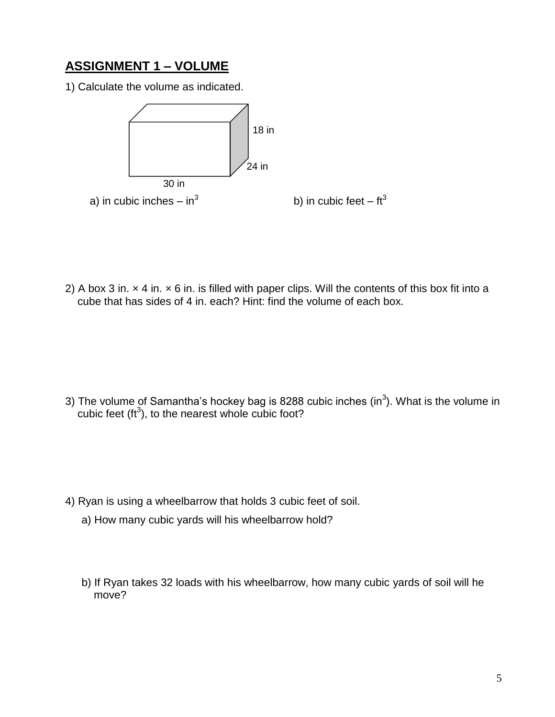# **ASSIGNMENT 1 – VOLUME**

1) Calculate the volume as indicated.



2) A box 3 in.  $\times$  4 in.  $\times$  6 in. is filled with paper clips. Will the contents of this box fit into a cube that has sides of 4 in. each? Hint: find the volume of each box.

3) The volume of Samantha's hockey bag is 8288 cubic inches (in<sup>3</sup>). What is the volume in cubic feet ( $\text{ft}^3$ ), to the nearest whole cubic foot?

- 4) Ryan is using a wheelbarrow that holds 3 cubic feet of soil.
	- a) How many cubic yards will his wheelbarrow hold?
	- b) If Ryan takes 32 loads with his wheelbarrow, how many cubic yards of soil will he move?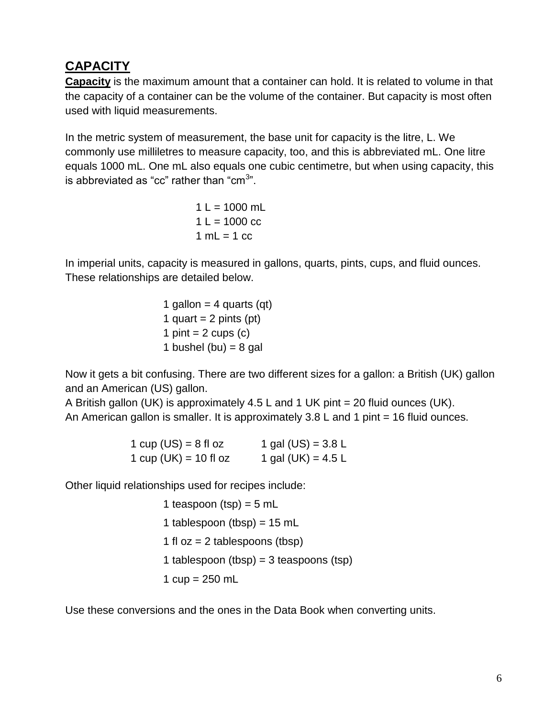# **CAPACITY**

**Capacity** is the maximum amount that a container can hold. It is related to volume in that the capacity of a container can be the volume of the container. But capacity is most often used with liquid measurements.

In the metric system of measurement, the base unit for capacity is the litre, L. We commonly use milliletres to measure capacity, too, and this is abbreviated mL. One litre equals 1000 mL. One mL also equals one cubic centimetre, but when using capacity, this is abbreviated as "cc" rather than "cm $3"$ .

> $1 L = 1000$  mL  $1 L = 1000$  cc  $1 mL = 1 cc$

In imperial units, capacity is measured in gallons, quarts, pints, cups, and fluid ounces. These relationships are detailed below.

> 1 gallon  $=$  4 quarts (qt) 1 quart =  $2$  pints (pt) 1 pint  $= 2$  cups (c) 1 bushel (bu) =  $8$  gal

Now it gets a bit confusing. There are two different sizes for a gallon: a British (UK) gallon and an American (US) gallon.

A British gallon (UK) is approximately 4.5 L and 1 UK pint = 20 fluid ounces (UK). An American gallon is smaller. It is approximately  $3.8$  L and 1 pint = 16 fluid ounces.

| 1 cup $(US) = 8$ fl oz | 1 gal $(US) = 3.8 L$ |
|------------------------|----------------------|
| 1 cup (UK) = 10 fl oz  | 1 gal (UK) = $4.5 L$ |

Other liquid relationships used for recipes include:

1 teaspoon (tsp) =  $5$  mL 1 tablespoon (tbsp) =  $15$  mL 1 fl  $oz = 2$  tablespoons (tbsp) 1 tablespoon (tbsp) =  $3$  teaspoons (tsp) 1  $cup = 250$  mL

Use these conversions and the ones in the Data Book when converting units.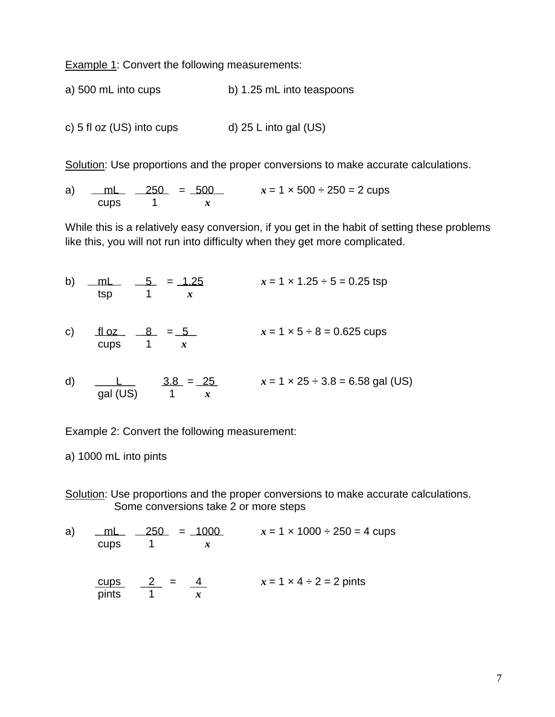Example 1: Convert the following measurements:

a) 500 mL into cups b) 1.25 mL into teaspoons

c)  $5$  fl oz (US) into cups d)  $25$  L into gal (US)

Solution: Use proportions and the proper conversions to make accurate calculations.

a) <u>mL 250</u> = 500  $x = 1 \times 500 \div 250 = 2$  cups cups 1 *x*

While this is a relatively easy conversion, if you get in the habit of setting these problems like this, you will not run into difficulty when they get more complicated.

b) mL 5 = 1.25  
\n
$$
x = 1 \times 1.25 \div 5 = 0.25 \text{ tsp}
$$
  
\nc) floz 8 = 5  
\ncups 1 x  
\n $x = 1 \times 5 \div 8 = 0.625 \text{ cups}$   
\nd) uL 3.8 = 25  
\n $x = 1 \times 5 \div 8 = 0.625 \text{ cups}$   
\n $x = 1 \times 25 \div 3.8 = 6.58 \text{ gal (US)}$ 

Example 2: Convert the following measurement:

a) 1000 mL into pints

Solution: Use proportions and the proper conversions to make accurate calculations. Some conversions take 2 or more steps

a)  $mL$  250 = 1000  $x = 1 \times 1000 \div 250 = 4$  cups cups  $1$  *x* cups  $2 = 4$   $x = 1 \times 4 \div 2 = 2$  pints  $\frac{\text{cups}}{\text{pints}}$   $\frac{2}{1} = \frac{4}{x}$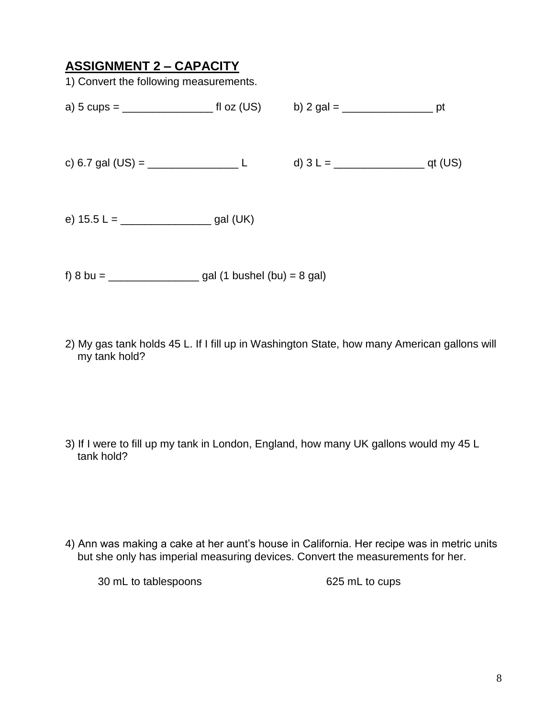### **ASSIGNMENT 2 – CAPACITY**

1) Convert the following measurements.

| a) 5 cups = $\frac{1}{2}$       | fl oz (US) | b) 2 gal = $\frac{1}{2}$ | <sub>-</sub> pt |
|---------------------------------|------------|--------------------------|-----------------|
| c) 6.7 gal (US) = $\frac{1}{2}$ |            |                          | $Q$ qt (US)     |
|                                 | gal (UK)   |                          |                 |

f) 8 bu = \_\_\_\_\_\_\_\_\_\_\_\_\_\_\_ gal (1 bushel (bu) = 8 gal)

2) My gas tank holds 45 L. If I fill up in Washington State, how many American gallons will my tank hold?

3) If I were to fill up my tank in London, England, how many UK gallons would my 45 L tank hold?

4) Ann was making a cake at her aunt's house in California. Her recipe was in metric units but she only has imperial measuring devices. Convert the measurements for her.

30 mL to tablespoons 625 mL to cups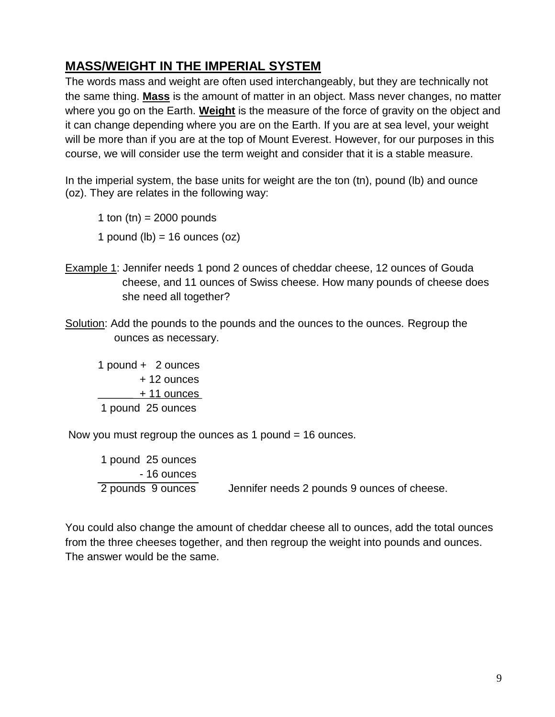# **MASS/WEIGHT IN THE IMPERIAL SYSTEM**

The words mass and weight are often used interchangeably, but they are technically not the same thing. **Mass** is the amount of matter in an object. Mass never changes, no matter where you go on the Earth. **Weight** is the measure of the force of gravity on the object and it can change depending where you are on the Earth. If you are at sea level, your weight will be more than if you are at the top of Mount Everest. However, for our purposes in this course, we will consider use the term weight and consider that it is a stable measure.

In the imperial system, the base units for weight are the ton (tn), pound (lb) and ounce (oz). They are relates in the following way:

1 ton  $(tn) = 2000$  pounds 1 pound (lb)  $=$  16 ounces (oz)

- Example 1: Jennifer needs 1 pond 2 ounces of cheddar cheese, 12 ounces of Gouda cheese, and 11 ounces of Swiss cheese. How many pounds of cheese does she need all together?
- Solution: Add the pounds to the pounds and the ounces to the ounces. Regroup the ounces as necessary.

1 pound + 2 ounces + 12 ounces + 11 ounces 1 pound 25 ounces

Now you must regroup the ounces as 1 pound = 16 ounces.

1 pound 25 ounces - 16 ounces 2 pounds 9 ounces Jennifer needs 2 pounds 9 ounces of cheese.

You could also change the amount of cheddar cheese all to ounces, add the total ounces from the three cheeses together, and then regroup the weight into pounds and ounces. The answer would be the same.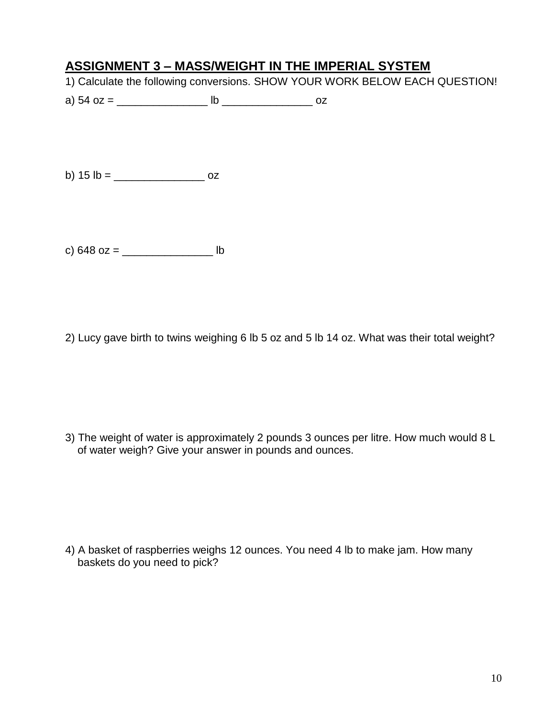### **ASSIGNMENT 3 – MASS/WEIGHT IN THE IMPERIAL SYSTEM**

- 1) Calculate the following conversions. SHOW YOUR WORK BELOW EACH QUESTION!
- a) 54 oz = \_\_\_\_\_\_\_\_\_\_\_\_\_\_\_ lb \_\_\_\_\_\_\_\_\_\_\_\_\_\_\_ oz

b) 15 lb = \_\_\_\_\_\_\_\_\_\_\_\_\_\_\_ oz

c) 648 oz = \_\_\_\_\_\_\_\_\_\_\_\_\_\_\_ lb

2) Lucy gave birth to twins weighing 6 lb 5 oz and 5 lb 14 oz. What was their total weight?

3) The weight of water is approximately 2 pounds 3 ounces per litre. How much would 8 L of water weigh? Give your answer in pounds and ounces.

4) A basket of raspberries weighs 12 ounces. You need 4 lb to make jam. How many baskets do you need to pick?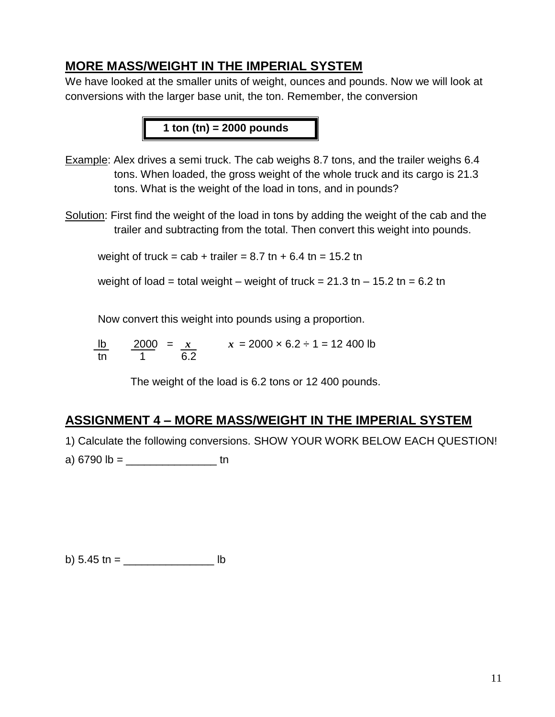#### **MORE MASS/WEIGHT IN THE IMPERIAL SYSTEM**

We have looked at the smaller units of weight, ounces and pounds. Now we will look at conversions with the larger base unit, the ton. Remember, the conversion

**1 ton (tn) = 2000 pounds**

- Example: Alex drives a semi truck. The cab weighs 8.7 tons, and the trailer weighs 6.4 tons. When loaded, the gross weight of the whole truck and its cargo is 21.3 tons. What is the weight of the load in tons, and in pounds?
- Solution: First find the weight of the load in tons by adding the weight of the cab and the trailer and subtracting from the total. Then convert this weight into pounds.

weight of truck = cab + trailer =  $8.7$  tn +  $6.4$  tn =  $15.2$  tn

weight of load = total weight – weight of truck =  $21.3$  tn –  $15.2$  tn =  $6.2$  tn

Now convert this weight into pounds using a proportion.

lb  $2000 = x$   $x = 2000 \times 6.2 \div 1 = 12400$  lb tn 1 6.2

The weight of the load is 6.2 tons or 12 400 pounds.

#### **ASSIGNMENT 4 – MORE MASS/WEIGHT IN THE IMPERIAL SYSTEM**

1) Calculate the following conversions. SHOW YOUR WORK BELOW EACH QUESTION!

a)  $6790 \text{ lb} =$  tn

b)  $5.45 \text{ th} =$  lb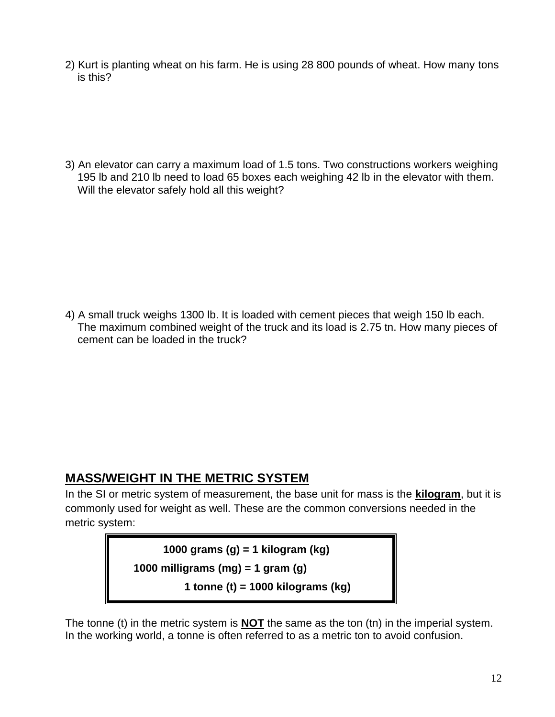2) Kurt is planting wheat on his farm. He is using 28 800 pounds of wheat. How many tons is this?

3) An elevator can carry a maximum load of 1.5 tons. Two constructions workers weighing 195 lb and 210 lb need to load 65 boxes each weighing 42 lb in the elevator with them. Will the elevator safely hold all this weight?

4) A small truck weighs 1300 lb. It is loaded with cement pieces that weigh 150 lb each. The maximum combined weight of the truck and its load is 2.75 tn. How many pieces of cement can be loaded in the truck?

#### **MASS/WEIGHT IN THE METRIC SYSTEM**

In the SI or metric system of measurement, the base unit for mass is the **kilogram**, but it is commonly used for weight as well. These are the common conversions needed in the metric system:

> **1000 grams (g) = 1 kilogram (kg) 1000 milligrams (mg) = 1 gram (g) 1 tonne (t) = 1000 kilograms (kg)**

The tonne (t) in the metric system is **NOT** the same as the ton (tn) in the imperial system. In the working world, a tonne is often referred to as a metric ton to avoid confusion.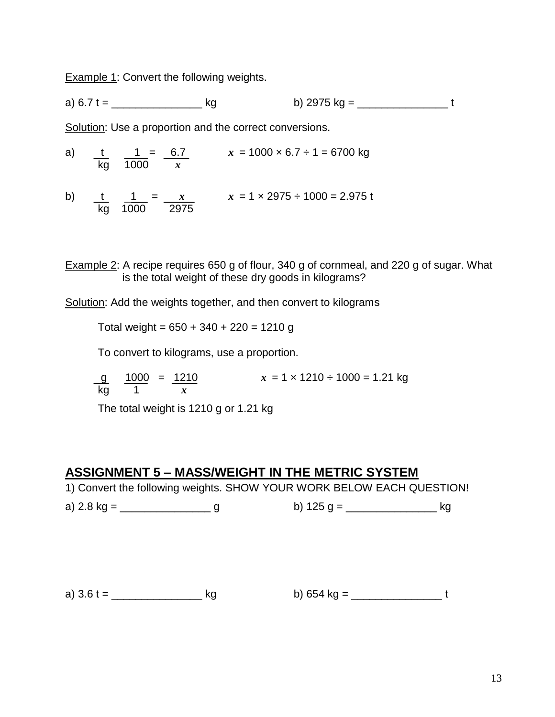**Example 1: Convert the following weights.** 

kg 1000 2975

a)  $6.7 t =$  kg b) 2975 kg =

Solution: Use a proportion and the correct conversions.

a) t 1 = 6.7 *x* = 1000 × 6.7 ÷ 1 = 6700 kg kg 1000 *x* b) t 1 =  $x$   $x = 1 \times 2975 \div 1000 = 2.975$  t

Example 2: A recipe requires 650 g of flour, 340 g of cornmeal, and 220 g of sugar. What is the total weight of these dry goods in kilograms?

Solution: Add the weights together, and then convert to kilograms

Total weight =  $650 + 340 + 220 = 1210$  g

To convert to kilograms, use a proportion.

 $x = 1 \times 1210 \div 1000 = 1.21$  kg  $\frac{g}{kq}$   $\frac{1000}{1}$  =  $\frac{1210}{x}$ 

The total weight is 1210 g or 1.21 kg

#### **ASSIGNMENT 5 – MASS/WEIGHT IN THE METRIC SYSTEM**

1) Convert the following weights. SHOW YOUR WORK BELOW EACH QUESTION!

a) 2.8 kg = \_\_\_\_\_\_\_\_\_\_\_\_\_\_\_ g b) 125 g = \_\_\_\_\_\_\_\_\_\_\_\_\_\_\_ kg

a)  $3.6 t =$  b)  $654 kg =$  b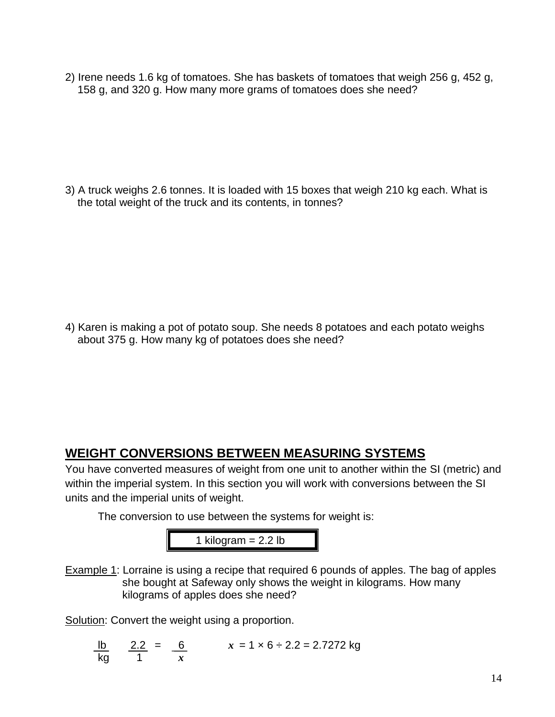2) Irene needs 1.6 kg of tomatoes. She has baskets of tomatoes that weigh 256 g, 452 g, 158 g, and 320 g. How many more grams of tomatoes does she need?

3) A truck weighs 2.6 tonnes. It is loaded with 15 boxes that weigh 210 kg each. What is the total weight of the truck and its contents, in tonnes?

4) Karen is making a pot of potato soup. She needs 8 potatoes and each potato weighs about 375 g. How many kg of potatoes does she need?

## **WEIGHT CONVERSIONS BETWEEN MEASURING SYSTEMS**

You have converted measures of weight from one unit to another within the SI (metric) and within the imperial system. In this section you will work with conversions between the SI units and the imperial units of weight.

The conversion to use between the systems for weight is:

1 kilogram =  $2.2$  lb

Example 1: Lorraine is using a recipe that required 6 pounds of apples. The bag of apples she bought at Safeway only shows the weight in kilograms. How many kilograms of apples does she need?

Solution: Convert the weight using a proportion.

lb 2.2 = 6  $x = 1 \times 6 \div 2.2 = 2.7272$  kg kg 1 *x*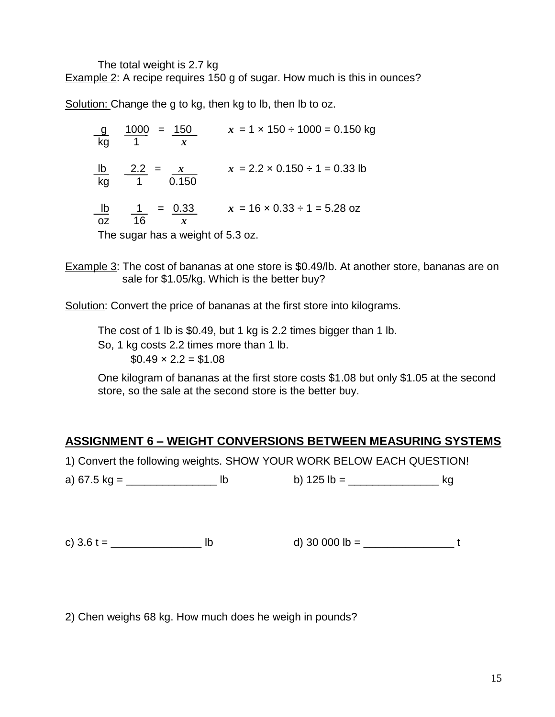The total weight is 2.7 kg

Example 2: A recipe requires 150 g of sugar. How much is this in ounces?

Solution: Change the g to kg, then kg to lb, then lb to oz.

g 1000 = 150 *x* = 1 × 150 ÷ 1000 = 0.150 kg kg 1 *x* lb 2.2 =  $x = 2.2 \times 0.150 \div 1 = 0.33$  lb kg 1 0.150 lb  $1 = 0.33$   $x = 16 \times 0.33 \div 1 = 5.28$  oz oz 16 *x* The sugar has a weight of 5.3 oz.

Example 3: The cost of bananas at one store is \$0.49/lb. At another store, bananas are on sale for \$1.05/kg. Which is the better buy?

Solution: Convert the price of bananas at the first store into kilograms.

The cost of 1 lb is \$0.49, but 1 kg is 2.2 times bigger than 1 lb. So, 1 kg costs 2.2 times more than 1 lb.  $$0.49 \times 2.2 = $1.08$ 

One kilogram of bananas at the first store costs \$1.08 but only \$1.05 at the second store, so the sale at the second store is the better buy.

#### **ASSIGNMENT 6 – WEIGHT CONVERSIONS BETWEEN MEASURING SYSTEMS**

1) Convert the following weights. SHOW YOUR WORK BELOW EACH QUESTION!

a) 67.5 kg = \_\_\_\_\_\_\_\_\_\_\_\_\_\_\_ lb b) 125 lb = \_\_\_\_\_\_\_\_\_\_\_\_\_\_\_ kg

c) 3.6 t = \_\_\_\_\_\_\_\_\_\_\_\_\_\_\_ lb d) 30 000 lb = \_\_\_\_\_\_\_\_\_\_\_\_\_\_\_ t

2) Chen weighs 68 kg. How much does he weigh in pounds?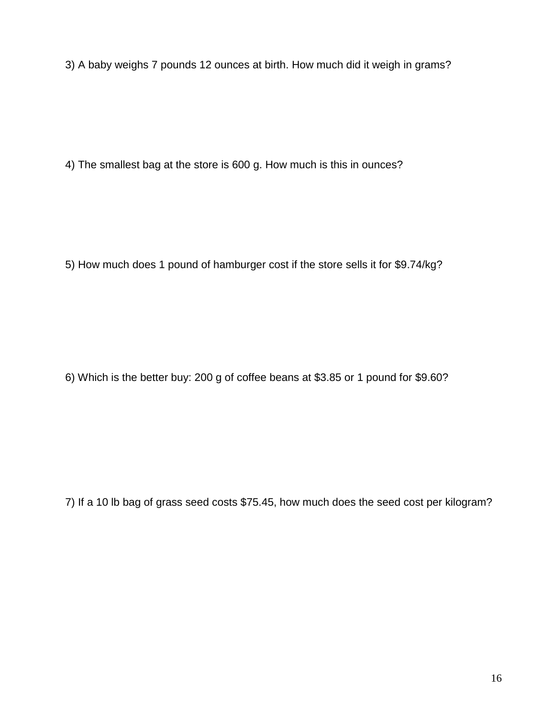3) A baby weighs 7 pounds 12 ounces at birth. How much did it weigh in grams?

4) The smallest bag at the store is 600 g. How much is this in ounces?

5) How much does 1 pound of hamburger cost if the store sells it for \$9.74/kg?

6) Which is the better buy: 200 g of coffee beans at \$3.85 or 1 pound for \$9.60?

7) If a 10 lb bag of grass seed costs \$75.45, how much does the seed cost per kilogram?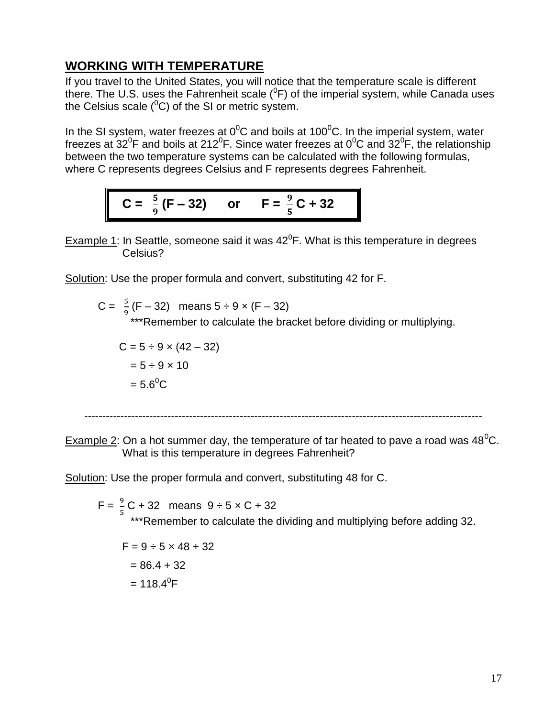## **WORKING WITH TEMPERATURE**

If you travel to the United States, you will notice that the temperature scale is different there. The U.S. uses the Fahrenheit scale ( ${}^{0}$ F) of the imperial system, while Canada uses the Celsius scale  $(^0C)$  of the SI or metric system.

In the SI system, water freezes at  $0^0$ C and boils at 100<sup>0</sup>C. In the imperial system, water freezes at 32<sup>°</sup>F and boils at 212<sup>°</sup>F. Since water freezes at 0<sup>°</sup>C and 32<sup>°</sup>F, the relationship between the two temperature systems can be calculated with the following formulas, where C represents degrees Celsius and F represents degrees Fahrenheit.

$$
C = \frac{5}{9}(F - 32)
$$
 or  $F = \frac{9}{5}C + 32$ 

Example 1: In Seattle, someone said it was  $42^0$ F. What is this temperature in degrees Celsius?

Solution: Use the proper formula and convert, substituting 42 for F.

C = 
$$
\frac{5}{9}
$$
(F – 32) means 5 ÷ 9 x (F – 32)  
\*\*\*Remember to calculate the bracket before dividing or multiplying.

$$
C = 5 \div 9 \times (42 - 32)
$$
  
= 5 \div 9 \times 10  
= 5.6<sup>o</sup>C

--------------------------------------------------------------------------------------------------------------

Example 2: On a hot summer day, the temperature of tar heated to pave a road was  $48^{\circ}$ C. What is this temperature in degrees Fahrenheit?

Solution: Use the proper formula and convert, substituting 48 for C.

 $F = \frac{9}{5}C + 32$  means  $9 \div 5 \times C + 32$ \*\*\*Remember to calculate the dividing and multiplying before adding 32.

$$
F = 9 \div 5 \times 48 + 32
$$
  
= 86.4 + 32  
= 118.4<sup>0</sup>F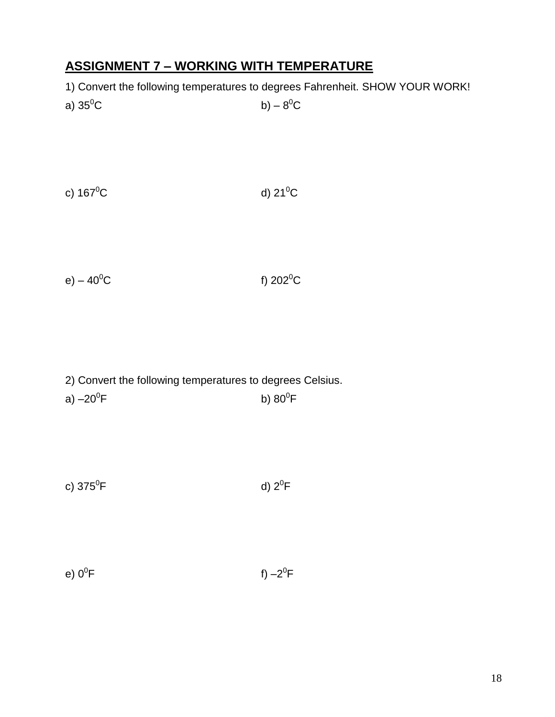## **ASSIGNMENT 7 – WORKING WITH TEMPERATURE**

1) Convert the following temperatures to degrees Fahrenheit. SHOW YOUR WORK!

| a) 35 $^0$ C | b) – $8^0C$ |
|--------------|-------------|
|              |             |

c)  $167^0C$  d)  $21^0C$ 

e) –  $40^{\circ}$ C f)  $202^{\circ}$ C

 $^0$ F

2) Convert the following temperatures to degrees Celsius. a)  $-20^0$ F  $\mathsf F$  b) 80 $^0\mathsf F$ 

| c) 375 <sup>0</sup> F | d) $2^0$ F |
|-----------------------|------------|
|-----------------------|------------|

| e) 0 $^0$ F | $f -2$ |
|-------------|--------|
|             |        |